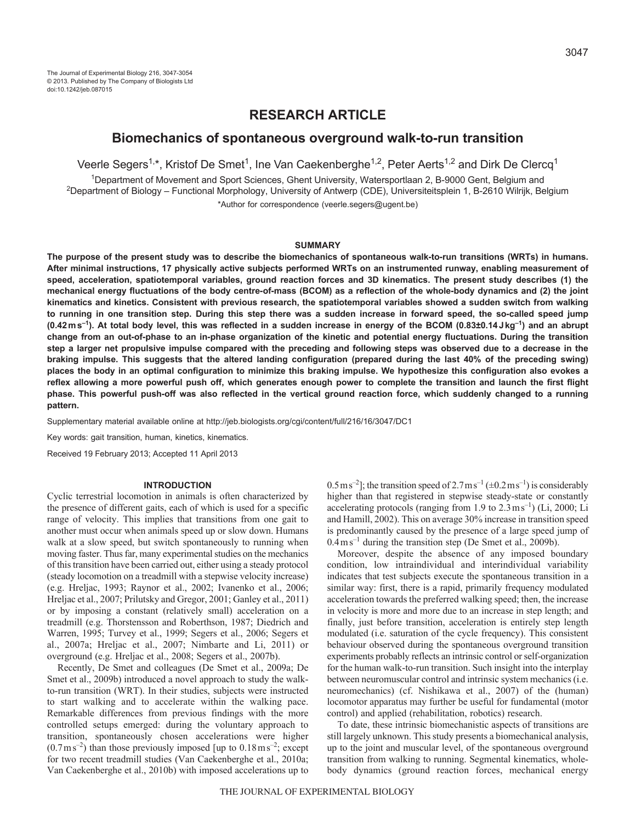# **RESEARCH ARTICLE**

# **Biomechanics of spontaneous overground walk-to-run transition**

Veerle Segers<sup>1,\*</sup>, Kristof De Smet<sup>1</sup>, Ine Van Caekenberghe<sup>1,2</sup>, Peter Aerts<sup>1,2</sup> and Dirk De Clercq<sup>1</sup>

1Department of Movement and Sport Sciences, Ghent University, Watersportlaan 2, B-9000 Gent, Belgium and 2Department of Biology – Functional Morphology, University of Antwerp (CDE), Universiteitsplein 1, B-2610 Wilrijk, Belgium \*Author for correspondence (veerle.segers@ugent.be)

# **SUMMARY**

**The purpose of the present study was to describe the biomechanics of spontaneous walk-to-run transitions (WRTs) in humans. After minimal instructions, 17 physically active subjects performed WRTs on an instrumented runway, enabling measurement of speed, acceleration, spatiotemporal variables, ground reaction forces and 3D kinematics. The present study describes (1) the mechanical energy fluctuations of the body centre-of-mass (BCOM) as a reflection of the whole-body dynamics and (2) the joint kinematics and kinetics. Consistent with previous research, the spatiotemporal variables showed a sudden switch from walking to running in one transition step. During this step there was a sudden increase in forward speed, the so-called speed jump (0.42ms–1). At total body level, this was reflected in a sudden increase in energy of the BCOM (0.83±0.14Jkg–1) and an abrupt change from an out-of-phase to an in-phase organization of the kinetic and potential energy fluctuations. During the transition step a larger net propulsive impulse compared with the preceding and following steps was observed due to a decrease in the braking impulse. This suggests that the altered landing configuration (prepared during the last 40% of the preceding swing) places the body in an optimal configuration to minimize this braking impulse. We hypothesize this configuration also evokes a reflex allowing a more powerful push off, which generates enough power to complete the transition and launch the first flight phase. This powerful push-off was also reflected in the vertical ground reaction force, which suddenly changed to a running pattern.**

Supplementary material available online at http://jeb.biologists.org/cgi/content/full/216/16/3047/DC1

Key words: gait transition, human, kinetics, kinematics.

Received 19 February 2013; Accepted 11 April 2013

## **INTRODUCTION**

Cyclic terrestrial locomotion in animals is often characterized by the presence of different gaits, each of which is used for a specific range of velocity. This implies that transitions from one gait to another must occur when animals speed up or slow down. Humans walk at a slow speed, but switch spontaneously to running when moving faster. Thus far, many experimental studies on the mechanics of this transition have been carried out, either using a steady protocol (steady locomotion on a treadmill with a stepwise velocity increase) (e.g. Hreljac, 1993; Raynor et al., 2002; Ivanenko et al., 2006; Hreljac et al., 2007; Prilutsky and Gregor, 2001; Ganley et al., 2011) or by imposing a constant (relatively small) acceleration on a treadmill (e.g. Thorstensson and Roberthson, 1987; Diedrich and Warren, 1995; Turvey et al., 1999; Segers et al., 2006; Segers et al., 2007a; Hreljac et al., 2007; Nimbarte and Li, 2011) or overground (e.g. Hreljac et al., 2008; Segers et al., 2007b).

Recently, De Smet and colleagues (De Smet et al., 2009a; De Smet et al., 2009b) introduced a novel approach to study the walkto-run transition (WRT). In their studies, subjects were instructed to start walking and to accelerate within the walking pace. Remarkable differences from previous findings with the more controlled setups emerged: during the voluntary approach to transition, spontaneously chosen accelerations were higher  $(0.7 \text{ m s}^{-2})$  than those previously imposed [up to  $0.18 \text{ m s}^{-2}$ ; except for two recent treadmill studies (Van Caekenberghe et al., 2010a; Van Caekenberghe et al., 2010b) with imposed accelerations up to

0.5 ms<sup>-2</sup>]; the transition speed of 2.7 ms<sup>-1</sup> ( $\pm$ 0.2 ms<sup>-1</sup>) is considerably higher than that registered in stepwise steady-state or constantly accelerating protocols (ranging from  $1.9$  to  $2.3 \text{ m s}^{-1}$ ) (Li, 2000; Li and Hamill, 2002). This on average 30% increase in transition speed is predominantly caused by the presence of a large speed jump of  $0.4 \text{ m s}^{-1}$  during the transition step (De Smet et al., 2009b).

Moreover, despite the absence of any imposed boundary condition, low intraindividual and interindividual variability indicates that test subjects execute the spontaneous transition in a similar way: first, there is a rapid, primarily frequency modulated acceleration towards the preferred walking speed; then, the increase in velocity is more and more due to an increase in step length; and finally, just before transition, acceleration is entirely step length modulated (i.e. saturation of the cycle frequency). This consistent behaviour observed during the spontaneous overground transition experiments probably reflects an intrinsic control or self-organization for the human walk-to-run transition. Such insight into the interplay between neuromuscular control and intrinsic system mechanics (i.e. neuromechanics) (cf. Nishikawa et al., 2007) of the (human) locomotor apparatus may further be useful for fundamental (motor control) and applied (rehabilitation, robotics) research.

To date, these intrinsic biomechanistic aspects of transitions are still largely unknown. This study presents a biomechanical analysis, up to the joint and muscular level, of the spontaneous overground transition from walking to running. Segmental kinematics, wholebody dynamics (ground reaction forces, mechanical energy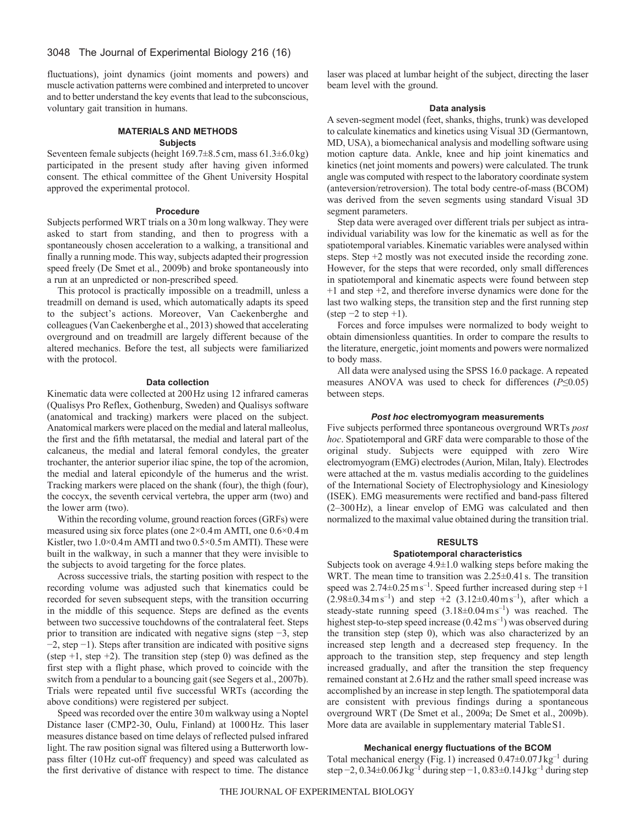fluctuations), joint dynamics (joint moments and powers) and muscle activation patterns were combined and interpreted to uncover and to better understand the key events that lead to the subconscious, voluntary gait transition in humans.

# **MATERIALS AND METHODS Subjects**

Seventeen female subjects (height 169.7±8.5cm, mass 61.3±6.0kg) participated in the present study after having given informed consent. The ethical committee of the Ghent University Hospital approved the experimental protocol.

# **Procedure**

Subjects performed WRT trials on a 30m long walkway. They were asked to start from standing, and then to progress with a spontaneously chosen acceleration to a walking, a transitional and finally a running mode. This way, subjects adapted their progression speed freely (De Smet et al., 2009b) and broke spontaneously into a run at an unpredicted or non-prescribed speed.

This protocol is practically impossible on a treadmill, unless a treadmill on demand is used, which automatically adapts its speed to the subject's actions. Moreover, Van Caekenberghe and colleagues (Van Caekenberghe et al., 2013) showed that accelerating overground and on treadmill are largely different because of the altered mechanics. Before the test, all subjects were familiarized with the protocol.

#### **Data collection**

Kinematic data were collected at 200Hz using 12 infrared cameras (Qualisys Pro Reflex, Gothenburg, Sweden) and Qualisys software (anatomical and tracking) markers were placed on the subject. Anatomical markers were placed on the medial and lateral malleolus, the first and the fifth metatarsal, the medial and lateral part of the calcaneus, the medial and lateral femoral condyles, the greater trochanter, the anterior superior iliac spine, the top of the acromion, the medial and lateral epicondyle of the humerus and the wrist. Tracking markers were placed on the shank (four), the thigh (four), the coccyx, the seventh cervical vertebra, the upper arm (two) and the lower arm (two).

Within the recording volume, ground reaction forces (GRFs) were measured using six force plates (one 2×0.4m AMTI, one 0.6×0.4m Kistler, two  $1.0 \times 0.4$  m AMTI and two  $0.5 \times 0.5$  m AMTI). These were built in the walkway, in such a manner that they were invisible to the subjects to avoid targeting for the force plates.

Across successive trials, the starting position with respect to the recording volume was adjusted such that kinematics could be recorded for seven subsequent steps, with the transition occurring in the middle of this sequence. Steps are defined as the events between two successive touchdowns of the contralateral feet. Steps prior to transition are indicated with negative signs (step −3, step −2, step −1). Steps after transition are indicated with positive signs (step  $+1$ , step  $+2$ ). The transition step (step 0) was defined as the first step with a flight phase, which proved to coincide with the switch from a pendular to a bouncing gait (see Segers et al., 2007b). Trials were repeated until five successful WRTs (according the above conditions) were registered per subject.

Speed was recorded over the entire 30m walkway using a Noptel Distance laser (CMP2-30, Oulu, Finland) at 1000Hz. This laser measures distance based on time delays of reflected pulsed infrared light. The raw position signal was filtered using a Butterworth lowpass filter (10Hz cut-off frequency) and speed was calculated as the first derivative of distance with respect to time. The distance laser was placed at lumbar height of the subject, directing the laser beam level with the ground.

#### **Data analysis**

A seven-segment model (feet, shanks, thighs, trunk) was developed to calculate kinematics and kinetics using Visual 3D (Germantown, MD, USA), a biomechanical analysis and modelling software using motion capture data. Ankle, knee and hip joint kinematics and kinetics (net joint moments and powers) were calculated. The trunk angle was computed with respect to the laboratory coordinate system (anteversion/retroversion). The total body centre-of-mass (BCOM) was derived from the seven segments using standard Visual 3D segment parameters.

Step data were averaged over different trials per subject as intraindividual variability was low for the kinematic as well as for the spatiotemporal variables. Kinematic variables were analysed within steps. Step +2 mostly was not executed inside the recording zone. However, for the steps that were recorded, only small differences in spatiotemporal and kinematic aspects were found between step +1 and step +2, and therefore inverse dynamics were done for the last two walking steps, the transition step and the first running step (step  $-2$  to step  $+1$ ).

Forces and force impulses were normalized to body weight to obtain dimensionless quantities. In order to compare the results to the literature, energetic, joint moments and powers were normalized to body mass.

All data were analysed using the SPSS 16.0 package. A repeated measures ANOVA was used to check for differences (*P*≤0.05) between steps.

# *Post hoc* **electromyogram measurements**

Five subjects performed three spontaneous overground WRTs *post hoc*. Spatiotemporal and GRF data were comparable to those of the original study. Subjects were equipped with zero Wire electromyogram (EMG) electrodes (Aurion, Milan, Italy). Electrodes were attached at the m. vastus medialis according to the guidelines of the International Society of Electrophysiology and Kinesiology (ISEK). EMG measurements were rectified and band-pass filtered (2–300Hz), a linear envelop of EMG was calculated and then normalized to the maximal value obtained during the transition trial.

### **RESULTS**

# **Spatiotemporal characteristics**

Subjects took on average 4.9±1.0 walking steps before making the WRT. The mean time to transition was  $2.25 \pm 0.41$  s. The transition speed was  $2.74 \pm 0.25$  ms<sup>-1</sup>. Speed further increased during step +1  $(2.98\pm0.34 \text{ m s}^{-1})$  and step  $+2$   $(3.12\pm0.40 \text{ m s}^{-1})$ , after which a steady-state running speed  $(3.18\pm0.04 \text{ m s}^{-1})$  was reached. The highest step-to-step speed increase  $(0.42 \text{ m s}^{-1})$  was observed during the transition step (step 0), which was also characterized by an increased step length and a decreased step frequency. In the approach to the transition step, step frequency and step length increased gradually, and after the transition the step frequency remained constant at 2.6Hz and the rather small speed increase was accomplished by an increase in step length. The spatiotemporal data are consistent with previous findings during a spontaneous overground WRT (De Smet et al., 2009a; De Smet et al., 2009b). More data are available in supplementary material TableS1.

# **Mechanical energy fluctuations of the BCOM**

Total mechanical energy (Fig. 1) increased  $0.47\pm0.07$  J kg<sup>-1</sup> during step −2, 0.34±0.06Jkg–1 during step −1, 0.83±0.14Jkg–1 during step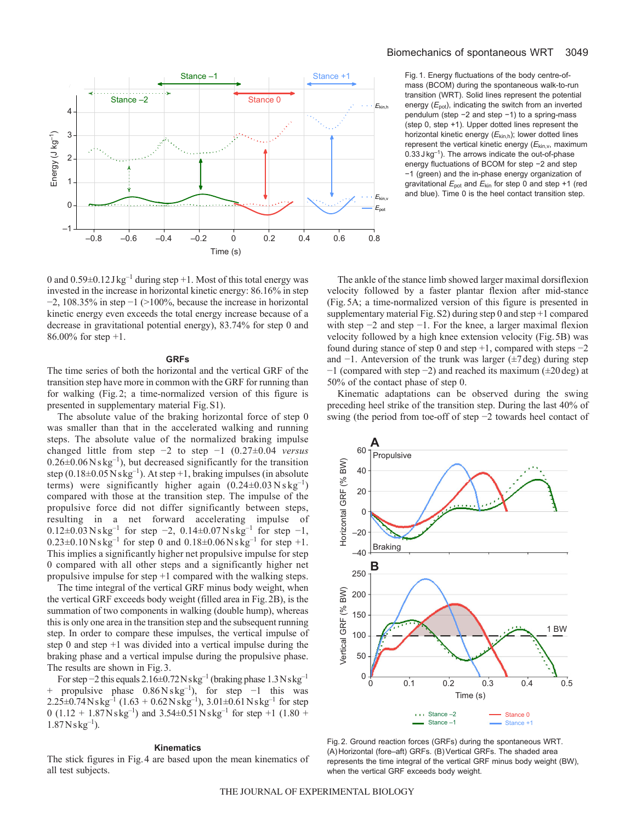## Biomechanics of spontaneous WRT 3049

Fig. 1. Energy fluctuations of the body centre-ofmass (BCOM) during the spontaneous walk-to-run transition (WRT). Solid lines represent the potential



energy ( $E_{pot}$ ), indicating the switch from an inverted pendulum (step −2 and step −1) to a spring-mass (step 0, step +1). Upper dotted lines represent the horizontal kinetic energy ( $E_{kin,h}$ ); lower dotted lines represent the vertical kinetic energy ( $E_{kin,v}$ , maximum  $0.33$  J kg<sup>-1</sup>). The arrows indicate the out-of-phase energy fluctuations of BCOM for step −2 and step −1 (green) and the in-phase energy organization of gravitational *E*pot and *E*kin for step 0 and step +1 (red and blue). Time 0 is the heel contact transition step.

0 and  $0.59\pm0.12$  J kg<sup>-1</sup> during step +1. Most of this total energy was invested in the increase in horizontal kinetic energy: 86.16% in step −2, 108.35% in step −1 (>100%, because the increase in horizontal kinetic energy even exceeds the total energy increase because of a decrease in gravitational potential energy), 83.74% for step 0 and 86.00% for step +1.

#### **GRFs**

The time series of both the horizontal and the vertical GRF of the transition step have more in common with the GRF for running than for walking (Fig.2; a time-normalized version of this figure is presented in supplementary material Fig.S1).

The absolute value of the braking horizontal force of step 0 was smaller than that in the accelerated walking and running steps. The absolute value of the normalized braking impulse changed little from step −2 to step −1 (0.27±0.04 *versus*  $0.26\pm0.06\,\text{N}\,\text{s}\,\text{kg}^{-1}$ , but decreased significantly for the transition step  $(0.18\pm0.05\,\text{N}\,\text{s}\,\text{kg}^{-1})$ . At step +1, braking impulses (in absolute terms) were significantly higher again  $(0.24 \pm 0.03 \text{ N s kg}^{-1})$ compared with those at the transition step. The impulse of the propulsive force did not differ significantly between steps, resulting in a net forward accelerating impulse of  $0.12\pm0.03$  Ns kg<sup>-1</sup> for step -2,  $0.14\pm0.07$  Ns kg<sup>-1</sup> for step -1,  $0.23 \pm 0.10 \text{ Ns kg}^{-1}$  for step 0 and  $0.18 \pm 0.06 \text{ Ns kg}^{-1}$  for step +1. This implies a significantly higher net propulsive impulse for step 0 compared with all other steps and a significantly higher net propulsive impulse for step +1 compared with the walking steps.

The time integral of the vertical GRF minus body weight, when the vertical GRF exceeds body weight (filled area in Fig.2B), is the summation of two components in walking (double hump), whereas this is only one area in the transition step and the subsequent running step. In order to compare these impulses, the vertical impulse of step 0 and step +1 was divided into a vertical impulse during the braking phase and a vertical impulse during the propulsive phase. The results are shown in Fig.3.

For step −2 this equals 2.16±0.72Nskg–1 (braking phase 1.3Nskg–1 propulsive phase  $0.86Ns kg^{-1}$ ), for step -1 this was  $2.25\pm0.74\,\text{N}\,\text{s}\,\text{kg}^{-1}$   $(1.63 + 0.62\,\text{N}\,\text{s}\,\text{kg}^{-1})$ ,  $3.01\pm0.61\,\text{N}\,\text{s}\,\text{kg}^{-1}$  for step 0 (1.12 + 1.87 $N$ skg<sup>-1</sup>) and 3.54 $\pm$ 0.51 $N$ skg<sup>-1</sup> for step +1 (1.80 +  $1.87N$ skg<sup>-1</sup>).

# **Kinematics**

The stick figures in Fig.4 are based upon the mean kinematics of all test subjects.

The ankle of the stance limb showed larger maximal dorsiflexion velocity followed by a faster plantar flexion after mid-stance (Fig.5A; a time-normalized version of this figure is presented in supplementary material Fig.S2) during step 0 and step +1 compared with step −2 and step −1. For the knee, a larger maximal flexion velocity followed by a high knee extension velocity (Fig.5B) was found during stance of step 0 and step +1, compared with steps  $-2$ and −1. Anteversion of the trunk was larger (±7deg) during step −1 (compared with step −2) and reached its maximum (±20deg) at 50% of the contact phase of step 0.

Kinematic adaptations can be observed during the swing preceding heel strike of the transition step. During the last 40% of swing (the period from toe-off of step −2 towards heel contact of



Fig. 2. Ground reaction forces (GRFs) during the spontaneous WRT. (A) Horizontal (fore–aft) GRFs. (B)Vertical GRFs. The shaded area represents the time integral of the vertical GRF minus body weight (BW), when the vertical GRF exceeds body weight.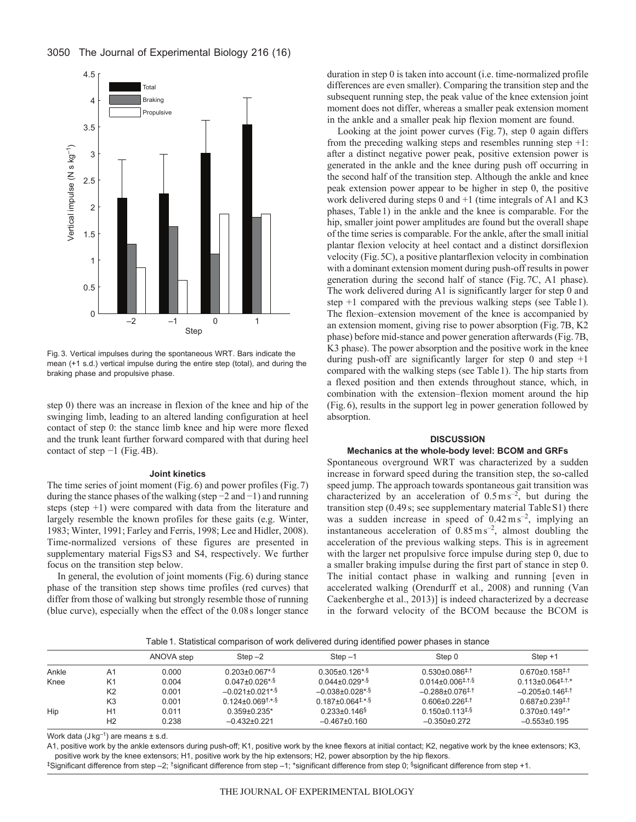

Fig. 3. Vertical impulses during the spontaneous WRT. Bars indicate the mean (+1 s.d.) vertical impulse during the entire step (total), and during the braking phase and propulsive phase.

step 0) there was an increase in flexion of the knee and hip of the swinging limb, leading to an altered landing configuration at heel contact of step 0: the stance limb knee and hip were more flexed and the trunk leant further forward compared with that during heel contact of step  $-1$  (Fig. 4B).

#### **Joint kinetics**

The time series of joint moment (Fig.6) and power profiles (Fig.7) during the stance phases of the walking (step −2 and −1) and running steps (step +1) were compared with data from the literature and largely resemble the known profiles for these gaits (e.g. Winter, 1983; Winter, 1991; Farley and Ferris, 1998; Lee and Hidler, 2008). Time-normalized versions of these figures are presented in supplementary material FigsS3 and S4, respectively. We further focus on the transition step below.

In general, the evolution of joint moments (Fig.6) during stance phase of the transition step shows time profiles (red curves) that differ from those of walking but strongly resemble those of running (blue curve), especially when the effect of the 0.08s longer stance duration in step 0 is taken into account (i.e. time-normalized profile differences are even smaller). Comparing the transition step and the subsequent running step, the peak value of the knee extension joint moment does not differ, whereas a smaller peak extension moment in the ankle and a smaller peak hip flexion moment are found.

Looking at the joint power curves (Fig.7), step 0 again differs from the preceding walking steps and resembles running step  $+1$ : after a distinct negative power peak, positive extension power is generated in the ankle and the knee during push off occurring in the second half of the transition step. Although the ankle and knee peak extension power appear to be higher in step 0, the positive work delivered during steps 0 and +1 (time integrals of A1 and K3 phases, Table1) in the ankle and the knee is comparable. For the hip, smaller joint power amplitudes are found but the overall shape of the time series is comparable. For the ankle, after the small initial plantar flexion velocity at heel contact and a distinct dorsiflexion velocity (Fig.5C), a positive plantarflexion velocity in combination with a dominant extension moment during push-off results in power generation during the second half of stance (Fig.7C, A1 phase). The work delivered during A1 is significantly larger for step 0 and step +1 compared with the previous walking steps (see Table1). The flexion–extension movement of the knee is accompanied by an extension moment, giving rise to power absorption (Fig.7B, K2 phase) before mid-stance and power generation afterwards (Fig.7B, K3 phase). The power absorption and the positive work in the knee during push-off are significantly larger for step 0 and step  $+1$ compared with the walking steps (see Table1). The hip starts from a flexed position and then extends throughout stance, which, in combination with the extension–flexion moment around the hip (Fig.6), results in the support leg in power generation followed by absorption.

# **DISCUSSION Mechanics at the whole-body level: BCOM and GRFs**

Spontaneous overground WRT was characterized by a sudden increase in forward speed during the transition step, the so-called speed jump. The approach towards spontaneous gait transition was characterized by an acceleration of  $0.5 \text{ m s}^{-2}$ , but during the transition step (0.49 s; see supplementary material TableS1) there was a sudden increase in speed of  $0.42 \text{ m s}^{-2}$ , implying an instantaneous acceleration of  $0.85 \text{ m s}^{-2}$ , almost doubling the acceleration of the previous walking steps. This is in agreement with the larger net propulsive force impulse during step 0, due to a smaller braking impulse during the first part of stance in step 0. The initial contact phase in walking and running [even in accelerated walking (Orendurff et al., 2008) and running (Van Caekenberghe et al., 2013)] is indeed characterized by a decrease in the forward velocity of the BCOM because the BCOM is

Table1. Statistical comparison of work delivered during identified power phases in stance

|       |                | ANOVA step | $Step -2$                               | $Step -1$                                | Step 0                                | $Step +1$                                |
|-------|----------------|------------|-----------------------------------------|------------------------------------------|---------------------------------------|------------------------------------------|
| Ankle | A <sub>1</sub> | 0.000      | $0.203 + 0.067$ <sup>*,§</sup>          | $0.305 + 0.126$ * $\frac{5}{2}$          | $0.530 + 0.086$ <sup>‡,†</sup>        | $0.670{\pm}0.158^{\ddagger, \dagger}$    |
| Knee  | K <sub>1</sub> | 0.004      | $0.047 \pm 0.026$ * $\frac{5}{2}$       | $0.044 \pm 0.029$ <sup>*,§</sup>         | $0.014 \pm 0.006^{\text{+}1.5}$       | $0.113 \pm 0.064^{\ddagger, \dagger, *}$ |
|       | K <sub>2</sub> | 0.001      | $-0.021 \pm 0.021 \times$ <sup>\$</sup> | $-0.038\pm0.028$ * $\frac{5}{8}$         | $-0.288 \pm 0.076^{\ddagger,+}$       | $-0.205 \pm 0.146^{\ddagger,+}$          |
|       | K <sub>3</sub> | 0.001      | $0.124 \pm 0.069^{\dagger,*,\$}$        | $0.187 \pm 0.064^{\text{\text{+}},*,\$}$ | $0.606 \pm 0.226^{\ddagger, \dagger}$ | $0.687 \pm 0.239^{\ddagger, \dagger}$    |
| Hip   | H1             | 0.011      | $0.359 \pm 0.235$ *                     | $0.233 \pm 0.146$ <sup>§</sup>           | $0.150 \pm 0.113 \pm 8$               | $0.370\pm0.149^{\dagger,*}$              |
|       | H <sub>2</sub> | 0.238      | $-0.432+0.221$                          | $-0.467+0.160$                           | $-0.350+0.272$                        | $-0.553\pm0.195$                         |

Work data  $(J \text{ kg}^{-1})$  are means  $\pm$  s.d.

A1, positive work by the ankle extensors during push-off; K1, positive work by the knee flexors at initial contact; K2, negative work by the knee extensors; K3, positive work by the knee extensors; H1, positive work by the hip extensors; H2, power absorption by the hip flexors.

‡Significant difference from step –2; †significant difference from step –1; \*significant difference from step 0; §significant difference from step +1.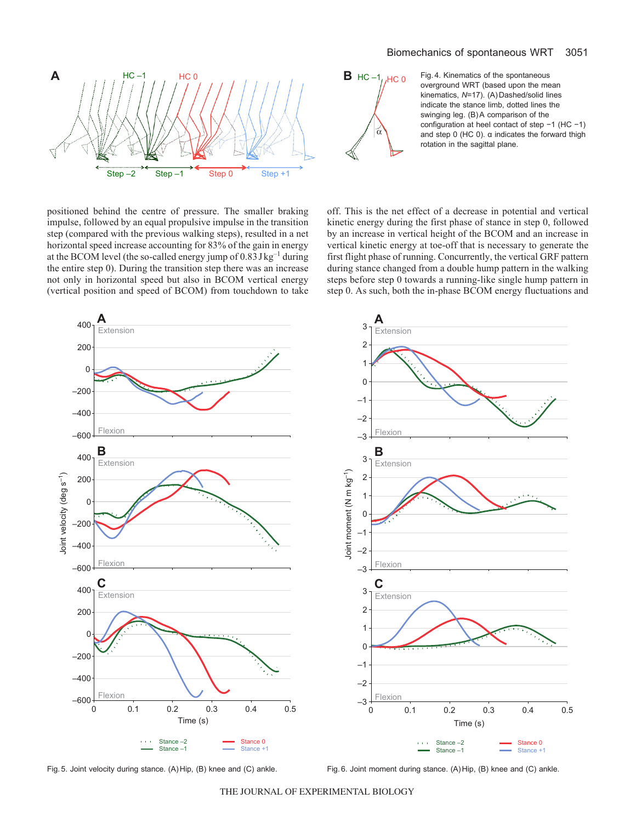# Biomechanics of spontaneous WRT 3051



Fig. 4. Kinematics of the spontaneous overground WRT (based upon the mean kinematics, *N*=17). (A) Dashed/solid lines indicate the stance limb, dotted lines the swinging leg. (B)A comparison of the configuration at heel contact of step −1 (HC −1) and step 0 (HC 0).  $α$  indicates the forward thigh rotation in the sagittal plane.

positioned behind the centre of pressure. The smaller braking impulse, followed by an equal propulsive impulse in the transition step (compared with the previous walking steps), resulted in a net horizontal speed increase accounting for 83% of the gain in energy at the BCOM level (the so-called energy jump of  $0.83$  J kg<sup>-1</sup> during the entire step 0). During the transition step there was an increase not only in horizontal speed but also in BCOM vertical energy (vertical position and speed of BCOM) from touchdown to take off. This is the net effect of a decrease in potential and vertical kinetic energy during the first phase of stance in step 0, followed by an increase in vertical height of the BCOM and an increase in vertical kinetic energy at toe-off that is necessary to generate the first flight phase of running. Concurrently, the vertical GRF pattern during stance changed from a double hump pattern in the walking steps before step 0 towards a running-like single hump pattern in step 0. As such, both the in-phase BCOM energy fluctuations and

α

 $\bf{B}$  HC –1<sub>//HC 0</sub>



Fig. 5. Joint velocity during stance. (A) Hip, (B) knee and (C) ankle. Fig. 6. Joint moment during stance. (A) Hip, (B) knee and (C) ankle.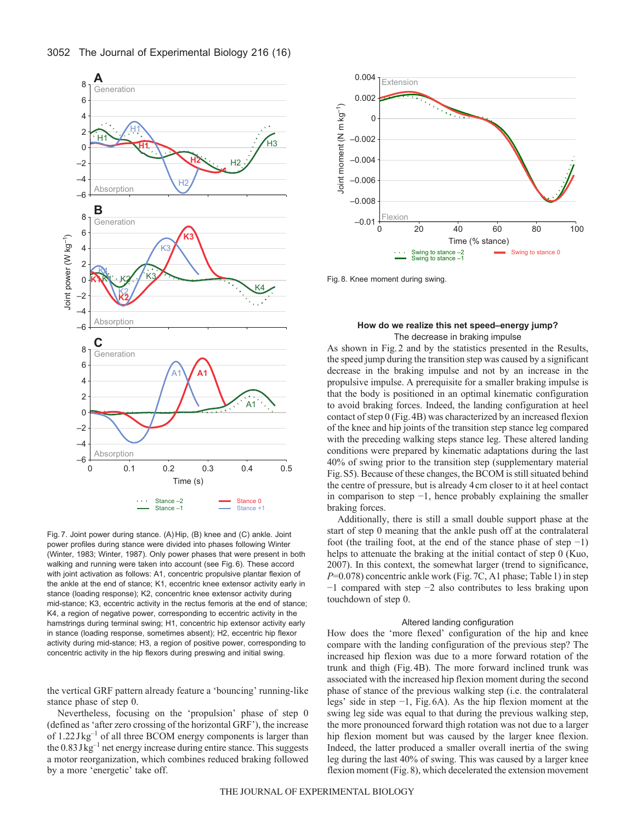

Fig. 7. Joint power during stance. (A) Hip, (B) knee and (C) ankle. Joint power profiles during stance were divided into phases following Winter (Winter, 1983; Winter, 1987). Only power phases that were present in both walking and running were taken into account (see Fig. 6). These accord with joint activation as follows: A1, concentric propulsive plantar flexion of the ankle at the end of stance; K1, eccentric knee extensor activity early in stance (loading response); K2, concentric knee extensor activity during mid-stance; K3, eccentric activity in the rectus femoris at the end of stance; K4, a region of negative power, corresponding to eccentric activity in the hamstrings during terminal swing; H1, concentric hip extensor activity early in stance (loading response, sometimes absent); H2, eccentric hip flexor activity during mid-stance; H3, a region of positive power, corresponding to concentric activity in the hip flexors during preswing and initial swing.

the vertical GRF pattern already feature a 'bouncing' running-like stance phase of step 0.

Nevertheless, focusing on the 'propulsion' phase of step 0 (defined as 'after zero crossing of the horizontal GRF'), the increase of  $1.22 \text{ Jkg}^{-1}$  of all three BCOM energy components is larger than the  $0.83$  J kg<sup>-1</sup> net energy increase during entire stance. This suggests a motor reorganization, which combines reduced braking followed by a more 'energetic' take off.



Fig. 8. Knee moment during swing.

## **How do we realize this net speed–energy jump?** The decrease in braking impulse

As shown in Fig.2 and by the statistics presented in the Results, the speed jump during the transition step was caused by a significant decrease in the braking impulse and not by an increase in the propulsive impulse. A prerequisite for a smaller braking impulse is that the body is positioned in an optimal kinematic configuration to avoid braking forces. Indeed, the landing configuration at heel contact of step 0 (Fig.4B) was characterized by an increased flexion of the knee and hip joints of the transition step stance leg compared with the preceding walking steps stance leg. These altered landing conditions were prepared by kinematic adaptations during the last 40% of swing prior to the transition step (supplementary material Fig.S5). Because of these changes, the BCOM is still situated behind the centre of pressure, but is already 4cm closer to it at heel contact in comparison to step −1, hence probably explaining the smaller braking forces.

Additionally, there is still a small double support phase at the start of step 0 meaning that the ankle push off at the contralateral foot (the trailing foot, at the end of the stance phase of step  $-1$ ) helps to attenuate the braking at the initial contact of step 0 (Kuo, 2007). In this context, the somewhat larger (trend to significance, *P*=0.078) concentric ankle work (Fig. 7C, A1 phase; Table 1) in step −1 compared with step −2 also contributes to less braking upon touchdown of step 0.

### Altered landing configuration

How does the 'more flexed' configuration of the hip and knee compare with the landing configuration of the previous step? The increased hip flexion was due to a more forward rotation of the trunk and thigh (Fig.4B). The more forward inclined trunk was associated with the increased hip flexion moment during the second phase of stance of the previous walking step (i.e. the contralateral legs' side in step −1, Fig.6A). As the hip flexion moment at the swing leg side was equal to that during the previous walking step, the more pronounced forward thigh rotation was not due to a larger hip flexion moment but was caused by the larger knee flexion. Indeed, the latter produced a smaller overall inertia of the swing leg during the last 40% of swing. This was caused by a larger knee flexion moment (Fig.8), which decelerated the extension movement

# 3052 The Journal of Experimental Biology 216 (16)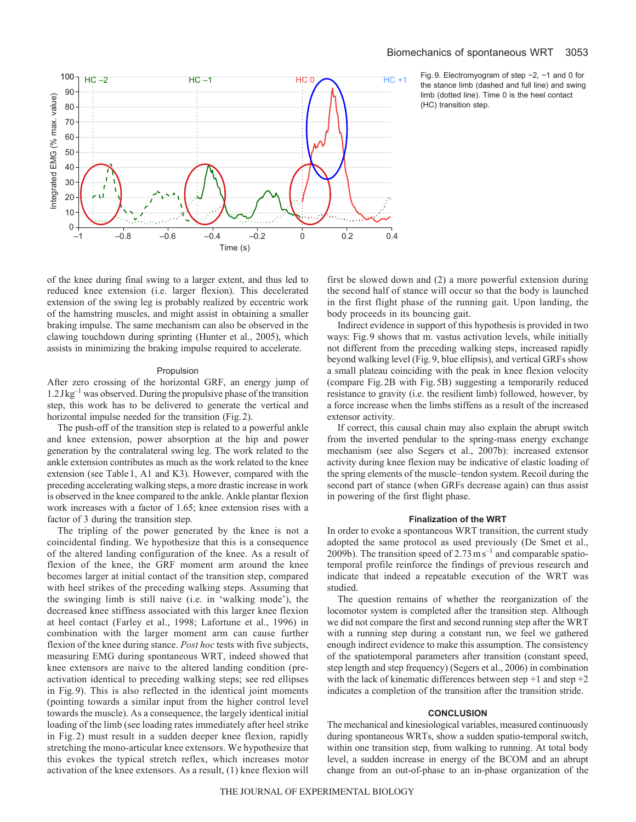

the stance limb (dashed and full line) and swing limb (dotted line). Time 0 is the heel contact (HC) transition step.

of the knee during final swing to a larger extent, and thus led to reduced knee extension (i.e. larger flexion). This decelerated extension of the swing leg is probably realized by eccentric work of the hamstring muscles, and might assist in obtaining a smaller braking impulse. The same mechanism can also be observed in the clawing touchdown during sprinting (Hunter et al., 2005), which assists in minimizing the braking impulse required to accelerate.

#### Propulsion

After zero crossing of the horizontal GRF, an energy jump of  $1.2$  J kg<sup>-1</sup> was observed. During the propulsive phase of the transition step, this work has to be delivered to generate the vertical and horizontal impulse needed for the transition (Fig.2).

The push-off of the transition step is related to a powerful ankle and knee extension, power absorption at the hip and power generation by the contralateral swing leg. The work related to the ankle extension contributes as much as the work related to the knee extension (see Table1, A1 and K3). However, compared with the preceding accelerating walking steps, a more drastic increase in work is observed in the knee compared to the ankle. Ankle plantar flexion work increases with a factor of 1.65; knee extension rises with a factor of 3 during the transition step.

The tripling of the power generated by the knee is not a coincidental finding. We hypothesize that this is a consequence of the altered landing configuration of the knee. As a result of flexion of the knee, the GRF moment arm around the knee becomes larger at initial contact of the transition step, compared with heel strikes of the preceding walking steps. Assuming that the swinging limb is still naive (i.e. in 'walking mode'), the decreased knee stiffness associated with this larger knee flexion at heel contact (Farley et al., 1998; Lafortune et al., 1996) in combination with the larger moment arm can cause further flexion of the knee during stance. *Post hoc* tests with five subjects, measuring EMG during spontaneous WRT, indeed showed that knee extensors are naive to the altered landing condition (preactivation identical to preceding walking steps; see red ellipses in Fig.9). This is also reflected in the identical joint moments (pointing towards a similar input from the higher control level towards the muscle). As a consequence, the largely identical initial loading of the limb (see loading rates immediately after heel strike in Fig. 2) must result in a sudden deeper knee flexion, rapidly stretching the mono-articular knee extensors. We hypothesize that this evokes the typical stretch reflex, which increases motor activation of the knee extensors. As a result, (1) knee flexion will

first be slowed down and (2) a more powerful extension during the second half of stance will occur so that the body is launched in the first flight phase of the running gait. Upon landing, the body proceeds in its bouncing gait.

Indirect evidence in support of this hypothesis is provided in two ways: Fig.9 shows that m. vastus activation levels, while initially not different from the preceding walking steps, increased rapidly beyond walking level (Fig.9, blue ellipsis), and vertical GRFs show a small plateau coinciding with the peak in knee flexion velocity (compare Fig.2B with Fig.5B) suggesting a temporarily reduced resistance to gravity (i.e. the resilient limb) followed, however, by a force increase when the limbs stiffens as a result of the increased extensor activity.

If correct, this causal chain may also explain the abrupt switch from the inverted pendular to the spring-mass energy exchange mechanism (see also Segers et al., 2007b): increased extensor activity during knee flexion may be indicative of elastic loading of the spring elements of the muscle–tendon system. Recoil during the second part of stance (when GRFs decrease again) can thus assist in powering of the first flight phase.

## **Finalization of the WRT**

In order to evoke a spontaneous WRT transition, the current study adopted the same protocol as used previously (De Smet et al., 2009b). The transition speed of  $2.73 \text{ m s}^{-1}$  and comparable spatiotemporal profile reinforce the findings of previous research and indicate that indeed a repeatable execution of the WRT was studied.

The question remains of whether the reorganization of the locomotor system is completed after the transition step. Although we did not compare the first and second running step after the WRT with a running step during a constant run, we feel we gathered enough indirect evidence to make this assumption. The consistency of the spatiotemporal parameters after transition (constant speed, step length and step frequency) (Segers et al., 2006) in combination with the lack of kinematic differences between step  $+1$  and step  $+2$ indicates a completion of the transition after the transition stride.

# **CONCLUSION**

The mechanical and kinesiological variables, measured continuously during spontaneous WRTs, show a sudden spatio-temporal switch, within one transition step, from walking to running. At total body level, a sudden increase in energy of the BCOM and an abrupt change from an out-of-phase to an in-phase organization of the